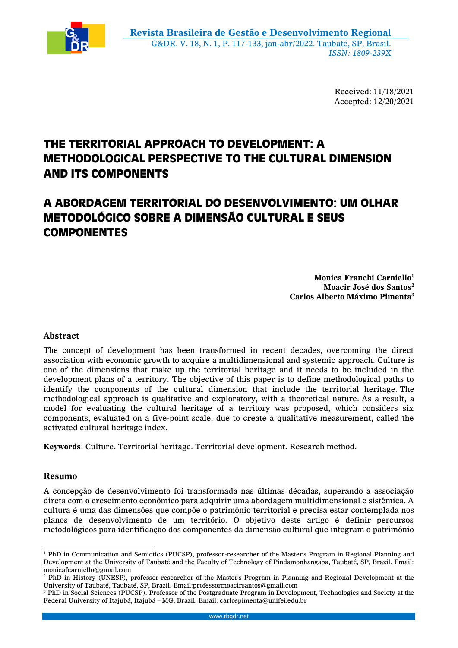

Received: 11/18/2021 Accepted: 12/20/2021

# **THE TERRITORIAL APPROACH TO DEVELOPMENT: A METHODOLOGICAL PERSPECTIVE TO THE CULTURAL DIMENSION AND ITS COMPONENTS**

# **A ABORDAGEM TERRITORIAL DO DESENVOLVIMENTO: UM OLHAR METODOLÓGICO SOBRE A DIMENSÃO CULTURAL E SEUS COMPONENTES**

**Monica Franchi Carniello<sup>1</sup> Moacir José dos Santos<sup>2</sup> Carlos Alberto Máximo Pimenta<sup>3</sup>**

# **Abstract**

The concept of development has been transformed in recent decades, overcoming the direct association with economic growth to acquire a multidimensional and systemic approach. Culture is one of the dimensions that make up the territorial heritage and it needs to be included in the development plans of a territory. The objective of this paper is to define methodological paths to identify the components of the cultural dimension that include the territorial heritage. The methodological approach is qualitative and exploratory, with a theoretical nature. As a result, a model for evaluating the cultural heritage of a territory was proposed, which considers six components, evaluated on a five-point scale, due to create a qualitative measurement, called the activated cultural heritage index.

**Keywords**: Culture. Territorial heritage. Territorial development. Research method.

## **Resumo**

<u>.</u>

A concepção de desenvolvimento foi transformada nas últimas décadas, superando a associação direta com o crescimento econômico para adquirir uma abordagem multidimensional e sistêmica. A cultura é uma das dimensões que compõe o patrimônio territorial e precisa estar contemplada nos planos de desenvolvimento de um território. O objetivo deste artigo é definir percursos metodológicos para identificação dos componentes da dimensão cultural que integram o patrimônio

<sup>1</sup> PhD in Communication and Semiotics (PUCSP), professor-researcher of the Master's Program in Regional Planning and Development at the University of Taubaté and the Faculty of Technology of Pindamonhangaba, Taubaté, SP, Brazil. Email: monicafcarniello@gmail.com

<sup>2</sup> PhD in History (UNESP), professor-researcher of the Master's Program in Planning and Regional Development at the University of Taubaté, Taubaté, SP, Brazil. Email:professormoacirsantos@gmail.com

<sup>3</sup> PhD in Social Sciences (PUCSP). Professor of the Postgraduate Program in Development, Technologies and Society at the Federal University of Itajubá, Itajubá – MG, Brazil. Email: carlospimenta@unifei.edu.br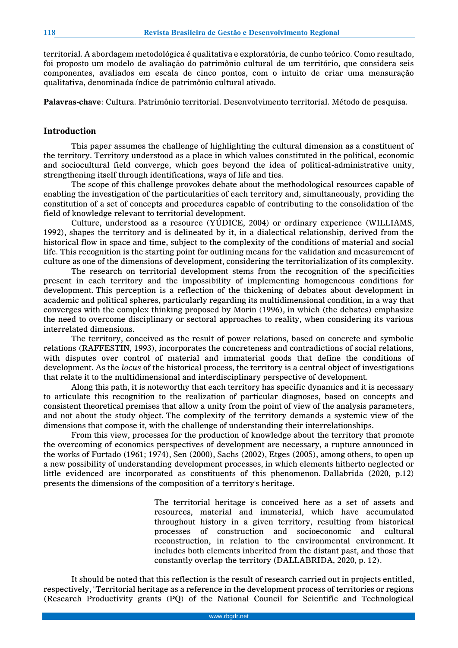territorial. A abordagem metodológica é qualitativa e exploratória, de cunho teórico. Como resultado, foi proposto um modelo de avaliação do patrimônio cultural de um território, que considera seis componentes, avaliados em escala de cinco pontos, com o intuito de criar uma mensuração qualitativa, denominada índice de patrimônio cultural ativado.

**Palavras-chave**: Cultura. Patrimônio territorial. Desenvolvimento territorial. Método de pesquisa.

### **Introduction**

This paper assumes the challenge of highlighting the cultural dimension as a constituent of the territory. Territory understood as a place in which values constituted in the political, economic and sociocultural field converge, which goes beyond the idea of political-administrative unity, strengthening itself through identifications, ways of life and ties.

The scope of this challenge provokes debate about the methodological resources capable of enabling the investigation of the particularities of each territory and, simultaneously, providing the constitution of a set of concepts and procedures capable of contributing to the consolidation of the field of knowledge relevant to territorial development.

Culture, understood as a resource (YÚDICE, 2004) or ordinary experience (WILLIAMS, 1992), shapes the territory and is delineated by it, in a dialectical relationship, derived from the historical flow in space and time, subject to the complexity of the conditions of material and social life. This recognition is the starting point for outlining means for the validation and measurement of culture as one of the dimensions of development, considering the territorialization of its complexity.

The research on territorial development stems from the recognition of the specificities present in each territory and the impossibility of implementing homogeneous conditions for development. This perception is a reflection of the thickening of debates about development in academic and political spheres, particularly regarding its multidimensional condition, in a way that converges with the complex thinking proposed by Morin (1996), in which (the debates) emphasize the need to overcome disciplinary or sectoral approaches to reality, when considering its various interrelated dimensions.

The territory, conceived as the result of power relations, based on concrete and symbolic relations (RAFFESTIN, 1993), incorporates the concreteness and contradictions of social relations, with disputes over control of material and immaterial goods that define the conditions of development. As the *locus* of the historical process, the territory is a central object of investigations that relate it to the multidimensional and interdisciplinary perspective of development.

Along this path, it is noteworthy that each territory has specific dynamics and it is necessary to articulate this recognition to the realization of particular diagnoses, based on concepts and consistent theoretical premises that allow a unity from the point of view of the analysis parameters, and not about the study object. The complexity of the territory demands a systemic view of the dimensions that compose it, with the challenge of understanding their interrelationships.

From this view, processes for the production of knowledge about the territory that promote the overcoming of economics perspectives of development are necessary, a rupture announced in the works of Furtado (1961; 1974), Sen (2000), Sachs (2002), Etges (2005), among others, to open up a new possibility of understanding development processes, in which elements hitherto neglected or little evidenced are incorporated as constituents of this phenomenon. Dallabrida (2020, p.12) presents the dimensions of the composition of a territory's heritage.

> The territorial heritage is conceived here as a set of assets and resources, material and immaterial, which have accumulated throughout history in a given territory, resulting from historical processes of construction and socioeconomic and cultural reconstruction, in relation to the environmental environment. It includes both elements inherited from the distant past, and those that constantly overlap the territory (DALLABRIDA, 2020, p. 12).

It should be noted that this reflection is the result of research carried out in projects entitled, respectively, "Territorial heritage as a reference in the development process of territories or regions (Research Productivity grants (PQ) of the National Council for Scientific and Technological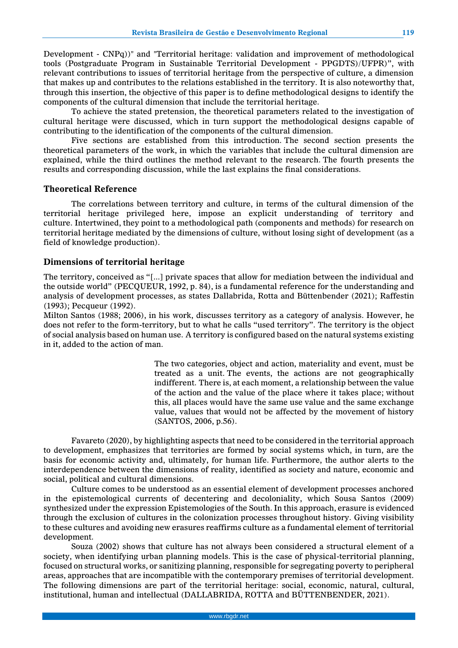Development - CNPq))" and "Territorial heritage: validation and improvement of methodological tools (Postgraduate Program in Sustainable Territorial Development - PPGDTS)/UFPR)", with relevant contributions to issues of territorial heritage from the perspective of culture, a dimension that makes up and contributes to the relations established in the territory. It is also noteworthy that, through this insertion, the objective of this paper is to define methodological designs to identify the components of the cultural dimension that include the territorial heritage.

To achieve the stated pretension, the theoretical parameters related to the investigation of cultural heritage were discussed, which in turn support the methodological designs capable of contributing to the identification of the components of the cultural dimension.

Five sections are established from this introduction. The second section presents the theoretical parameters of the work, in which the variables that include the cultural dimension are explained, while the third outlines the method relevant to the research. The fourth presents the results and corresponding discussion, while the last explains the final considerations.

#### **Theoretical Reference**

The correlations between territory and culture, in terms of the cultural dimension of the territorial heritage privileged here, impose an explicit understanding of territory and culture. Intertwined, they point to a methodological path (components and methods) for research on territorial heritage mediated by the dimensions of culture, without losing sight of development (as a field of knowledge production).

### **Dimensions of territorial heritage**

The territory, conceived as "[...] private spaces that allow for mediation between the individual and the outside world" (PECQUEUR, 1992, p. 84), is a fundamental reference for the understanding and analysis of development processes, as states Dallabrida, Rotta and Büttenbender (2021); Raffestin (1993); Pecqueur (1992).

Milton Santos (1988; 2006), in his work, discusses territory as a category of analysis. However, he does not refer to the form-territory, but to what he calls "used territory". The territory is the object of social analysis based on human use. A territory is configured based on the natural systems existing in it, added to the action of man.

> The two categories, object and action, materiality and event, must be treated as a unit. The events, the actions are not geographically indifferent. There is, at each moment, a relationship between the value of the action and the value of the place where it takes place; without this, all places would have the same use value and the same exchange value, values that would not be affected by the movement of history (SANTOS, 2006, p.56).

Favareto (2020), by highlighting aspects that need to be considered in the territorial approach to development, emphasizes that territories are formed by social systems which, in turn, are the basis for economic activity and, ultimately, for human life. Furthermore, the author alerts to the interdependence between the dimensions of reality, identified as society and nature, economic and social, political and cultural dimensions.

Culture comes to be understood as an essential element of development processes anchored in the epistemological currents of decentering and decoloniality, which Sousa Santos (2009) synthesized under the expression Epistemologies of the South. In this approach, erasure is evidenced through the exclusion of cultures in the colonization processes throughout history. Giving visibility to these cultures and avoiding new erasures reaffirms culture as a fundamental element of territorial development.

Souza (2002) shows that culture has not always been considered a structural element of a society, when identifying urban planning models. This is the case of physical-territorial planning, focused on structural works, or sanitizing planning, responsible for segregating poverty to peripheral areas, approaches that are incompatible with the contemporary premises of territorial development. The following dimensions are part of the territorial heritage: social, economic, natural, cultural, institutional, human and intellectual (DALLABRIDA, ROTTA and BÜTTENBENDER, 2021).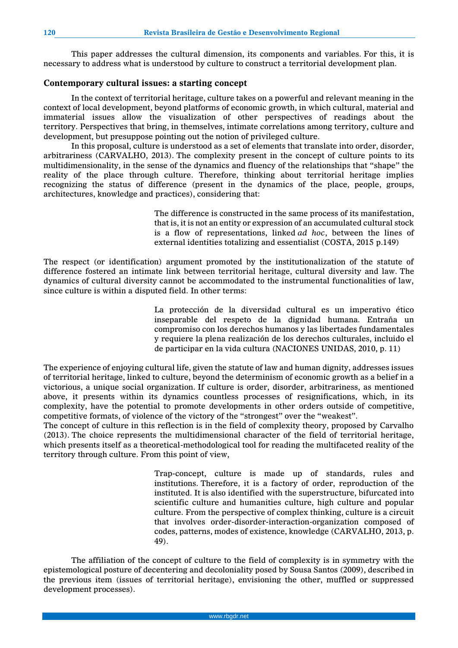This paper addresses the cultural dimension, its components and variables. For this, it is necessary to address what is understood by culture to construct a territorial development plan.

# **Contemporary cultural issues: a starting concept**

In the context of territorial heritage, culture takes on a powerful and relevant meaning in the context of local development, beyond platforms of economic growth, in which cultural, material and immaterial issues allow the visualization of other perspectives of readings about the territory. Perspectives that bring, in themselves, intimate correlations among territory, culture and development, but presuppose pointing out the notion of privileged culture.

In this proposal, culture is understood as a set of elements that translate into order, disorder, arbitrariness (CARVALHO, 2013). The complexity present in the concept of culture points to its multidimensionality, in the sense of the dynamics and fluency of the relationships that "shape" the reality of the place through culture. Therefore, thinking about territorial heritage implies recognizing the status of difference (present in the dynamics of the place, people, groups, architectures, knowledge and practices), considering that:

> The difference is constructed in the same process of its manifestation, that is, it is not an entity or expression of an accumulated cultural stock is a flow of representations, linked *ad hoc*, between the lines of external identities totalizing and essentialist (COSTA, 2015 p.149)

The respect (or identification) argument promoted by the institutionalization of the statute of difference fostered an intimate link between territorial heritage, cultural diversity and law. The dynamics of cultural diversity cannot be accommodated to the instrumental functionalities of law, since culture is within a disputed field. In other terms:

> La protección de la diversidad cultural es un imperativo ético inseparable del respeto de la dignidad humana. Entraña un compromiso con los derechos humanos y las libertades fundamentales y requiere la plena realización de los derechos culturales, incluido el de participar en la vida cultura (NACIONES UNIDAS, 2010, p. 11)

The experience of enjoying cultural life, given the statute of law and human dignity, addresses issues of territorial heritage, linked to culture, beyond the determinism of economic growth as a belief in a victorious, a unique social organization. If culture is order, disorder, arbitrariness, as mentioned above, it presents within its dynamics countless processes of resignifications, which, in its complexity, have the potential to promote developments in other orders outside of competitive, competitive formats, of violence of the victory of the "strongest" over the "weakest".

The concept of culture in this reflection is in the field of complexity theory, proposed by Carvalho (2013). The choice represents the multidimensional character of the field of territorial heritage, which presents itself as a theoretical-methodological tool for reading the multifaceted reality of the territory through culture. From this point of view,

> Trap-concept, culture is made up of standards, rules and institutions. Therefore, it is a factory of order, reproduction of the instituted. It is also identified with the superstructure, bifurcated into scientific culture and humanities culture, high culture and popular culture. From the perspective of complex thinking, culture is a circuit that involves order-disorder-interaction-organization composed of codes, patterns, modes of existence, knowledge (CARVALHO, 2013, p. 49).

The affiliation of the concept of culture to the field of complexity is in symmetry with the epistemological posture of decentering and decoloniality posed by Sousa Santos (2009), described in the previous item (issues of territorial heritage), envisioning the other, muffled or suppressed development processes).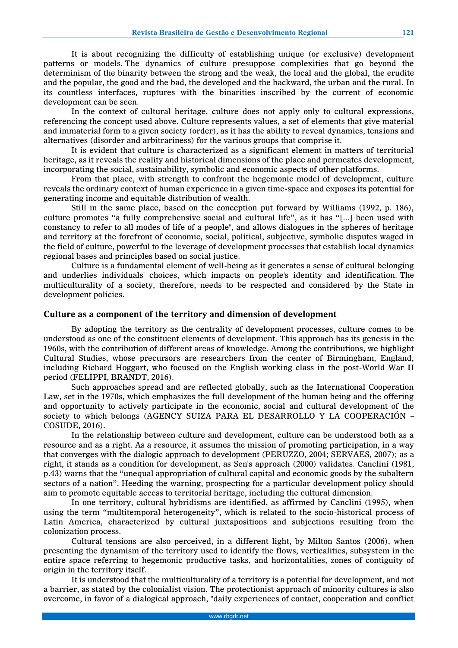It is about recognizing the difficulty of establishing unique (or exclusive) development patterns or models. The dynamics of culture presuppose complexities that go beyond the determinism of the binarity between the strong and the weak, the local and the global, the erudite and the popular, the good and the bad, the developed and the backward, the urban and the rural. In its countless interfaces, ruptures with the binarities inscribed by the current of economic development can be seen.

In the context of cultural heritage, culture does not apply only to cultural expressions, referencing the concept used above. Culture represents values, a set of elements that give material and immaterial form to a given society (order), as it has the ability to reveal dynamics, tensions and alternatives (disorder and arbitrariness) for the various groups that comprise it.

It is evident that culture is characterized as a significant element in matters of territorial heritage, as it reveals the reality and historical dimensions of the place and permeates development, incorporating the social, sustainability, symbolic and economic aspects of other platforms.

From that place, with strength to confront the hegemonic model of development, culture reveals the ordinary context of human experience in a given time-space and exposes its potential for generating income and equitable distribution of wealth.

Still in the same place, based on the conception put forward by Williams (1992, p. 186), culture promotes "a fully comprehensive social and cultural life", as it has "[...] been used with constancy to refer to all modes of life of a people", and allows dialogues in the spheres of heritage and territory at the forefront of economic, social, political, subjective, symbolic disputes waged in the field of culture, powerful to the leverage of development processes that establish local dynamics regional bases and principles based on social justice.

Culture is a fundamental element of well-being as it generates a sense of cultural belonging and underlies individuals' choices, which impacts on people's identity and identification. The multiculturality of a society, therefore, needs to be respected and considered by the State in development policies.

#### **Culture as a component of the territory and dimension of development**

By adopting the territory as the centrality of development processes, culture comes to be understood as one of the constituent elements of development. This approach has its genesis in the 1960s, with the contribution of different areas of knowledge. Among the contributions, we highlight Cultural Studies, whose precursors are researchers from the center of Birmingham, England, including Richard Hoggart, who focused on the English working class in the post-World War II period (FELIPPI, BRANDT, 2016).

Such approaches spread and are reflected globally, such as the International Cooperation Law, set in the 1970s, which emphasizes the full development of the human being and the offering and opportunity to actively participate in the economic, social and cultural development of the society to which belongs (AGENCY SUIZA PARA EL DESARROLLO Y LA COOPERACIÓN – COSUDE, 2016).

In the relationship between culture and development, culture can be understood both as a resource and as a right. As a resource, it assumes the mission of promoting participation, in a way that converges with the dialogic approach to development (PERUZZO, 2004; SERVAES, 2007); as a right, it stands as a condition for development, as Sen's approach (2000) validates. Canclini (1981, p.43) warns that the "unequal appropriation of cultural capital and economic goods by the subaltern sectors of a nation". Heeding the warning, prospecting for a particular development policy should aim to promote equitable access to territorial heritage, including the cultural dimension.

In one territory, cultural hybridisms are identified, as affirmed by Canclini (1995), when using the term "multitemporal heterogeneity", which is related to the socio-historical process of Latin America, characterized by cultural juxtapositions and subjections resulting from the colonization process.

Cultural tensions are also perceived, in a different light, by Milton Santos (2006), when presenting the dynamism of the territory used to identify the flows, verticalities, subsystem in the entire space referring to hegemonic productive tasks, and horizontalities, zones of contiguity of origin in the territory itself.

It is understood that the multiculturality of a territory is a potential for development, and not a barrier, as stated by the colonialist vision. The protectionist approach of minority cultures is also overcome, in favor of a dialogical approach, "daily experiences of contact, cooperation and conflict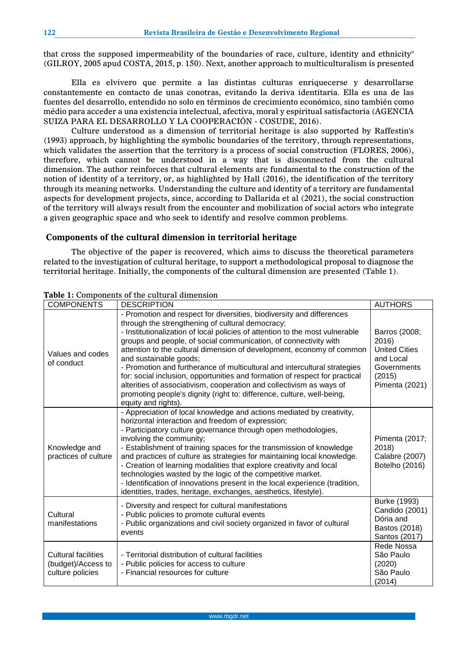that cross the supposed impermeability of the boundaries of race, culture, identity and ethnicity" (GILROY, 2005 apud COSTA, 2015, p. 150). Next, another approach to multiculturalism is presented

Ella es elvivero que permite a las distintas culturas enriquecerse y desarrollarse constantemente en contacto de unas conotras, evitando la deriva identitaria. Ella es una de las fuentes del desarrollo, entendido no solo en términos de crecimiento económico, sino también como médio para acceder a una existencia intelectual, afectiva, moral y espiritual satisfactoria (AGENCIA SUIZA PARA EL DESARROLLO Y LA COOPERACIÓN - COSUDE, 2016).

Culture understood as a dimension of territorial heritage is also supported by Raffestin's (1993) approach, by highlighting the symbolic boundaries of the territory, through representations, which validates the assertion that the territory is a process of social construction (FLORES, 2006), therefore, which cannot be understood in a way that is disconnected from the cultural dimension. The author reinforces that cultural elements are fundamental to the construction of the notion of identity of a territory, or, as highlighted by Hall (2016), the identification of the territory through its meaning networks. Understanding the culture and identity of a territory are fundamental aspects for development projects, since, according to Dallarida et al (2021), the social construction of the territory will always result from the encounter and mobilization of social actors who integrate a given geographic space and who seek to identify and resolve common problems.

## **Components of the cultural dimension in territorial heritage**

The objective of the paper is recovered, which aims to discuss the theoretical parameters related to the investigation of cultural heritage, to support a methodological proposal to diagnose the territorial heritage. Initially, the components of the cultural dimension are presented (Table 1).

| <b>COMPONENTS</b>                                                    | rabic 1: Components of the cultural annemologi<br><b>DESCRIPTION</b>                                                                                                                                                                                                                                                                                                                                                                                                                                                                                                                                                                                                                                                  | <b>AUTHORS</b>                                                                                        |
|----------------------------------------------------------------------|-----------------------------------------------------------------------------------------------------------------------------------------------------------------------------------------------------------------------------------------------------------------------------------------------------------------------------------------------------------------------------------------------------------------------------------------------------------------------------------------------------------------------------------------------------------------------------------------------------------------------------------------------------------------------------------------------------------------------|-------------------------------------------------------------------------------------------------------|
| Values and codes<br>of conduct                                       | - Promotion and respect for diversities, biodiversity and differences<br>through the strengthening of cultural democracy;<br>- Institutionalization of local policies of attention to the most vulnerable<br>groups and people, of social communication, of connectivity with<br>attention to the cultural dimension of development, economy of common<br>and sustainable goods;<br>- Promotion and furtherance of multicultural and intercultural strategies<br>for: social inclusion, opportunities and formation of respect for practical<br>alterities of associativism, cooperation and collectivism as ways of<br>promoting people's dignity (right to: difference, culture, well-being,<br>equity and rights). | Barros (2008;<br>2016<br><b>United Cities</b><br>and Local<br>Governments<br>(2015)<br>Pimenta (2021) |
| Knowledge and<br>practices of culture                                | - Appreciation of local knowledge and actions mediated by creativity,<br>horizontal interaction and freedom of expression;<br>- Participatory culture governance through open methodologies,<br>involving the community;<br>- Establishment of training spaces for the transmission of knowledge<br>and practices of culture as strategies for maintaining local knowledge.<br>- Creation of learning modalities that explore creativity and local<br>technologies wasted by the logic of the competitive market.<br>- Identification of innovations present in the local experience (tradition,<br>identities, trades, heritage, exchanges, aesthetics, lifestyle).                                                  | Pimenta (2017;<br>2018)<br>Calabre (2007)<br>Botelho (2016)                                           |
| Cultural<br>manifestations                                           | - Diversity and respect for cultural manifestations<br>- Public policies to promote cultural events<br>- Public organizations and civil society organized in favor of cultural<br>events                                                                                                                                                                                                                                                                                                                                                                                                                                                                                                                              | Burke (1993)<br>Candido (2001)<br>Dória and<br>Bastos (2018)<br>Santos (2017)                         |
| <b>Cultural facilities</b><br>(budget)/Access to<br>culture policies | - Territorial distribution of cultural facilities<br>- Public policies for access to culture<br>- Financial resources for culture                                                                                                                                                                                                                                                                                                                                                                                                                                                                                                                                                                                     | Rede Nossa<br>São Paulo<br>(2020)<br>São Paulo<br>(2014)                                              |

# **Table 1:** Components of the cultural dimension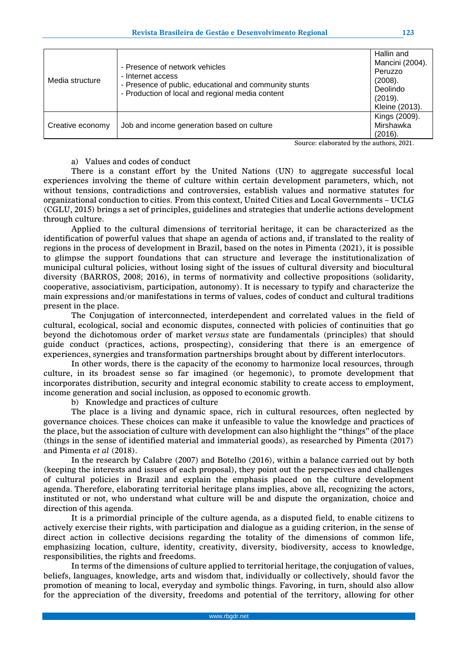| Media structure  | - Presence of network vehicles<br>- Internet access<br>- Presence of public, educational and community stunts<br>- Production of local and regional media content | Mancini (2004).<br>Peruzzo<br>(2008).<br>Deolindo<br>(2019).<br>Kleine (2013). |
|------------------|-------------------------------------------------------------------------------------------------------------------------------------------------------------------|--------------------------------------------------------------------------------|
| Creative economy | Job and income generation based on culture                                                                                                                        | Kings (2009).<br>Mirshawka<br>(2016).                                          |

Source: elaborated by the authors, 2021.

#### a) Values and codes of conduct

There is a constant effort by the United Nations (UN) to aggregate successful local experiences involving the theme of culture within certain development parameters, which, not without tensions, contradictions and controversies, establish values and normative statutes for organizational conduction to cities. From this context, United Cities and Local Governments – UCLG (CGLU, 2015) brings a set of principles, guidelines and strategies that underlie actions development through culture.

Applied to the cultural dimensions of territorial heritage, it can be characterized as the identification of powerful values that shape an agenda of actions and, if translated to the reality of regions in the process of development in Brazil, based on the notes in Pimenta (2021), it is possible to glimpse the support foundations that can structure and leverage the institutionalization of municipal cultural policies, without losing sight of the issues of cultural diversity and biocultural diversity (BARROS, 2008; 2016), in terms of normativity and collective propositions (solidarity, cooperative, associativism, participation, autonomy). It is necessary to typify and characterize the main expressions and/or manifestations in terms of values, codes of conduct and cultural traditions present in the place.

The Conjugation of interconnected, interdependent and correlated values in the field of cultural, ecological, social and economic disputes, connected with policies of continuities that go beyond the dichotomous order of market *versus* state are fundamentals (principles) that should guide conduct (practices, actions, prospecting), considering that there is an emergence of experiences, synergies and transformation partnerships brought about by different interlocutors.

In other words, there is the capacity of the economy to harmonize local resources, through culture, in its broadest sense so far imagined (or hegemonic), to promote development that incorporates distribution, security and integral economic stability to create access to employment, income generation and social inclusion, as opposed to economic growth.

b) Knowledge and practices of culture

The place is a living and dynamic space, rich in cultural resources, often neglected by governance choices. These choices can make it unfeasible to value the knowledge and practices of the place, but the association of culture with development can also highlight the "things" of the place (things in the sense of identified material and immaterial goods), as researched by Pimenta (2017) and Pimenta *et al* (2018).

In the research by Calabre (2007) and Botelho (2016), within a balance carried out by both (keeping the interests and issues of each proposal), they point out the perspectives and challenges of cultural policies in Brazil and explain the emphasis placed on the culture development agenda. Therefore, elaborating territorial heritage plans implies, above all, recognizing the actors, instituted or not, who understand what culture will be and dispute the organization, choice and direction of this agenda.

It is a primordial principle of the culture agenda, as a disputed field, to enable citizens to actively exercise their rights, with participation and dialogue as a guiding criterion, in the sense of direct action in collective decisions regarding the totality of the dimensions of common life, emphasizing location, culture, identity, creativity, diversity, biodiversity, access to knowledge, responsibilities, the rights and freedoms.

In terms of the dimensions of culture applied to territorial heritage, the conjugation of values, beliefs, languages, knowledge, arts and wisdom that, individually or collectively, should favor the promotion of meaning to local, everyday and symbolic things. Favoring, in turn, should also allow for the appreciation of the diversity, freedoms and potential of the territory, allowing for other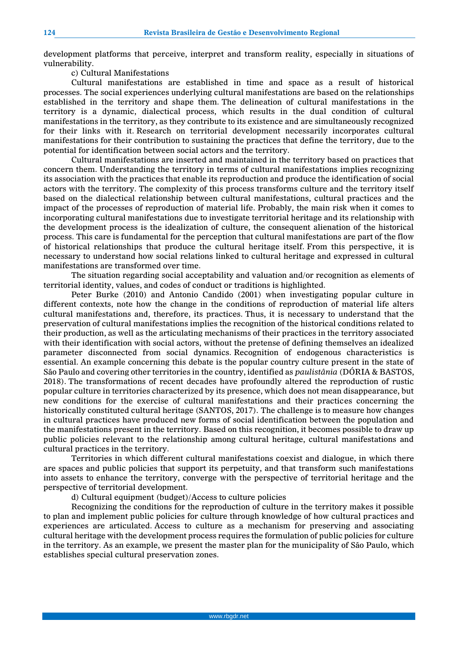development platforms that perceive, interpret and transform reality, especially in situations of vulnerability.

c) Cultural Manifestations

Cultural manifestations are established in time and space as a result of historical processes. The social experiences underlying cultural manifestations are based on the relationships established in the territory and shape them. The delineation of cultural manifestations in the territory is a dynamic, dialectical process, which results in the dual condition of cultural manifestations in the territory, as they contribute to its existence and are simultaneously recognized for their links with it. Research on territorial development necessarily incorporates cultural manifestations for their contribution to sustaining the practices that define the territory, due to the potential for identification between social actors and the territory.

Cultural manifestations are inserted and maintained in the territory based on practices that concern them. Understanding the territory in terms of cultural manifestations implies recognizing its association with the practices that enable its reproduction and produce the identification of social actors with the territory. The complexity of this process transforms culture and the territory itself based on the dialectical relationship between cultural manifestations, cultural practices and the impact of the processes of reproduction of material life. Probably, the main risk when it comes to incorporating cultural manifestations due to investigate territorial heritage and its relationship with the development process is the idealization of culture, the consequent alienation of the historical process. This care is fundamental for the perception that cultural manifestations are part of the flow of historical relationships that produce the cultural heritage itself. From this perspective, it is necessary to understand how social relations linked to cultural heritage and expressed in cultural manifestations are transformed over time.

The situation regarding social acceptability and valuation and/or recognition as elements of territorial identity, values, and codes of conduct or traditions is highlighted.

Peter Burke (2010) and Antonio Candido (2001) when investigating popular culture in different contexts, note how the change in the conditions of reproduction of material life alters cultural manifestations and, therefore, its practices. Thus, it is necessary to understand that the preservation of cultural manifestations implies the recognition of the historical conditions related to their production, as well as the articulating mechanisms of their practices in the territory associated with their identification with social actors, without the pretense of defining themselves an idealized parameter disconnected from social dynamics. Recognition of endogenous characteristics is essential. An example concerning this debate is the popular country culture present in the state of São Paulo and covering other territories in the country, identified as *paulistânia* (DÓRIA & BASTOS, 2018). The transformations of recent decades have profoundly altered the reproduction of rustic popular culture in territories characterized by its presence, which does not mean disappearance, but new conditions for the exercise of cultural manifestations and their practices concerning the historically constituted cultural heritage (SANTOS, 2017). The challenge is to measure how changes in cultural practices have produced new forms of social identification between the population and the manifestations present in the territory. Based on this recognition, it becomes possible to draw up public policies relevant to the relationship among cultural heritage, cultural manifestations and cultural practices in the territory.

Territories in which different cultural manifestations coexist and dialogue, in which there are spaces and public policies that support its perpetuity, and that transform such manifestations into assets to enhance the territory, converge with the perspective of territorial heritage and the perspective of territorial development.

d) Cultural equipment (budget)/Access to culture policies

Recognizing the conditions for the reproduction of culture in the territory makes it possible to plan and implement public policies for culture through knowledge of how cultural practices and experiences are articulated. Access to culture as a mechanism for preserving and associating cultural heritage with the development process requires the formulation of public policies for culture in the territory. As an example, we present the master plan for the municipality of São Paulo, which establishes special cultural preservation zones.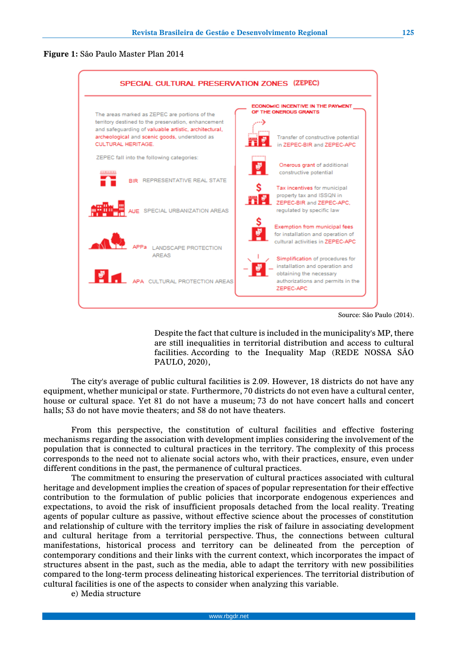**Figure 1:** São Paulo Master Plan 2014



Source: São Paulo (2014).

Despite the fact that culture is included in the municipality's MP, there are still inequalities in territorial distribution and access to cultural facilities. According to the Inequality Map (REDE NOSSA SÃO PAULO, 2020),

The city's average of public cultural facilities is 2.09. However, 18 districts do not have any equipment, whether municipal or state. Furthermore, 70 districts do not even have a cultural center, house or cultural space. Yet 81 do not have a museum; 73 do not have concert halls and concert halls; 53 do not have movie theaters; and 58 do not have theaters.

From this perspective, the constitution of cultural facilities and effective fostering mechanisms regarding the association with development implies considering the involvement of the population that is connected to cultural practices in the territory. The complexity of this process corresponds to the need not to alienate social actors who, with their practices, ensure, even under different conditions in the past, the permanence of cultural practices.

The commitment to ensuring the preservation of cultural practices associated with cultural heritage and development implies the creation of spaces of popular representation for their effective contribution to the formulation of public policies that incorporate endogenous experiences and expectations, to avoid the risk of insufficient proposals detached from the local reality. Treating agents of popular culture as passive, without effective science about the processes of constitution and relationship of culture with the territory implies the risk of failure in associating development and cultural heritage from a territorial perspective. Thus, the connections between cultural manifestations, historical process and territory can be delineated from the perception of contemporary conditions and their links with the current context, which incorporates the impact of structures absent in the past, such as the media, able to adapt the territory with new possibilities compared to the long-term process delineating historical experiences. The territorial distribution of cultural facilities is one of the aspects to consider when analyzing this variable.

e) Media structure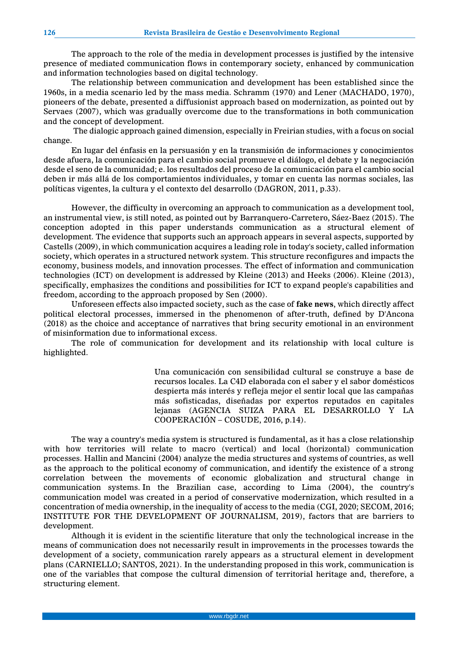The approach to the role of the media in development processes is justified by the intensive presence of mediated communication flows in contemporary society, enhanced by communication and information technologies based on digital technology.

The relationship between communication and development has been established since the 1960s, in a media scenario led by the mass media. Schramm (1970) and Lener (MACHADO, 1970), pioneers of the debate, presented a diffusionist approach based on modernization, as pointed out by Servaes (2007), which was gradually overcome due to the transformations in both communication and the concept of development.

The dialogic approach gained dimension, especially in Freirian studies, with a focus on social change.

En lugar del énfasis en la persuasión y en la transmisión de informaciones y conocimientos desde afuera, la comunicación para el cambio social promueve el diálogo, el debate y la negociación desde el seno de la comunidad; e. los resultados del proceso de la comunicación para el cambio social deben ir más allá de los comportamientos individuales, y tomar en cuenta las normas sociales, las políticas vigentes, la cultura y el contexto del desarrollo (DAGRON, 2011, p.33).

However, the difficulty in overcoming an approach to communication as a development tool, an instrumental view, is still noted, as pointed out by Barranquero-Carretero, Sáez-Baez (2015). The conception adopted in this paper understands communication as a structural element of development. The evidence that supports such an approach appears in several aspects, supported by Castells (2009), in which communication acquires a leading role in today's society, called information society, which operates in a structured network system. This structure reconfigures and impacts the economy, business models, and innovation processes. The effect of information and communication technologies (ICT) on development is addressed by Kleine (2013) and Heeks (2006). Kleine (2013), specifically, emphasizes the conditions and possibilities for ICT to expand people's capabilities and freedom, according to the approach proposed by Sen (2000).

Unforeseen effects also impacted society, such as the case of **fake news**, which directly affect political electoral processes, immersed in the phenomenon of after-truth, defined by D'Ancona (2018) as the choice and acceptance of narratives that bring security emotional in an environment of misinformation due to informational excess.

The role of communication for development and its relationship with local culture is highlighted.

> Una comunicación con sensibilidad cultural se construye a base de recursos locales. La C4D elaborada con el saber y el sabor domésticos despierta más interés y refleja mejor el sentir local que las campañas más sofisticadas, diseñadas por expertos reputados en capitales lejanas (AGENCIA SUIZA PARA EL DESARROLLO Y LA COOPERACIÓN – COSUDE, 2016, p.14).

The way a country's media system is structured is fundamental, as it has a close relationship with how territories will relate to macro (vertical) and local (horizontal) communication processes. Hallin and Mancini (2004) analyze the media structures and systems of countries, as well as the approach to the political economy of communication, and identify the existence of a strong correlation between the movements of economic globalization and structural change in communication systems. In the Brazilian case, according to Lima (2004), the country's communication model was created in a period of conservative modernization, which resulted in a concentration of media ownership, in the inequality of access to the media (CGI, 2020; SECOM, 2016; INSTITUTE FOR THE DEVELOPMENT OF JOURNALISM, 2019), factors that are barriers to development.

Although it is evident in the scientific literature that only the technological increase in the means of communication does not necessarily result in improvements in the processes towards the development of a society, communication rarely appears as a structural element in development plans (CARNIELLO; SANTOS, 2021). In the understanding proposed in this work, communication is one of the variables that compose the cultural dimension of territorial heritage and, therefore, a structuring element.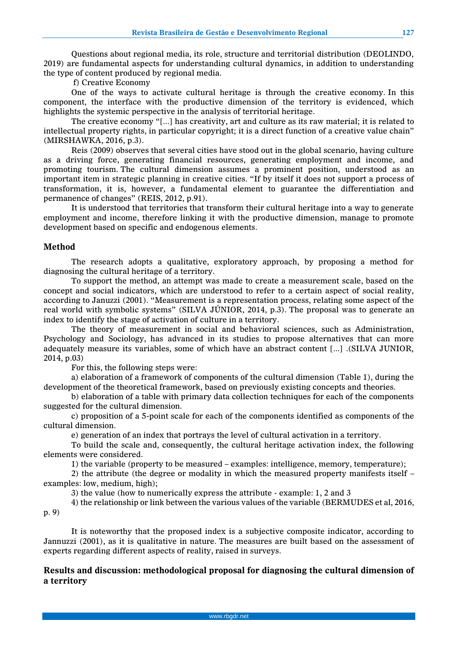Questions about regional media, its role, structure and territorial distribution (DEOLINDO, 2019) are fundamental aspects for understanding cultural dynamics, in addition to understanding the type of content produced by regional media.

f) Creative Economy

One of the ways to activate cultural heritage is through the creative economy. In this component, the interface with the productive dimension of the territory is evidenced, which highlights the systemic perspective in the analysis of territorial heritage.

The creative economy "[...] has creativity, art and culture as its raw material; it is related to intellectual property rights, in particular copyright; it is a direct function of a creative value chain" (MIRSHAWKA, 2016, p.3).

Reis (2009) observes that several cities have stood out in the global scenario, having culture as a driving force, generating financial resources, generating employment and income, and promoting tourism. The cultural dimension assumes a prominent position, understood as an important item in strategic planning in creative cities. "If by itself it does not support a process of transformation, it is, however, a fundamental element to guarantee the differentiation and permanence of changes" (REIS, 2012, p.91).

It is understood that territories that transform their cultural heritage into a way to generate employment and income, therefore linking it with the productive dimension, manage to promote development based on specific and endogenous elements.

## **Method**

The research adopts a qualitative, exploratory approach, by proposing a method for diagnosing the cultural heritage of a territory.

To support the method, an attempt was made to create a measurement scale, based on the concept and social indicators, which are understood to refer to a certain aspect of social reality, according to Januzzi (2001). "Measurement is a representation process, relating some aspect of the real world with symbolic systems" (SILVA JÚNIOR, 2014, p.3). The proposal was to generate an index to identify the stage of activation of culture in a territory.

The theory of measurement in social and behavioral sciences, such as Administration, Psychology and Sociology, has advanced in its studies to propose alternatives that can more adequately measure its variables, some of which have an abstract content [...] .(SILVA JUNIOR, 2014, p.03)

For this, the following steps were:

a) elaboration of a framework of components of the cultural dimension (Table 1), during the development of the theoretical framework, based on previously existing concepts and theories.

b) elaboration of a table with primary data collection techniques for each of the components suggested for the cultural dimension.

c) proposition of a 5-point scale for each of the components identified as components of the cultural dimension.

e) generation of an index that portrays the level of cultural activation in a territory.

To build the scale and, consequently, the cultural heritage activation index, the following elements were considered.

1) the variable (property to be measured – examples: intelligence, memory, temperature);

2) the attribute (the degree or modality in which the measured property manifests itself – examples: low, medium, high);

3) the value (how to numerically express the attribute - example: 1, 2 and 3

4) the relationship or link between the various values of the variable (BERMUDES et al, 2016,

p. 9)

It is noteworthy that the proposed index is a subjective composite indicator, according to Jannuzzi (2001), as it is qualitative in nature. The measures are built based on the assessment of experts regarding different aspects of reality, raised in surveys.

# **Results and discussion: methodological proposal for diagnosing the cultural dimension of a territory**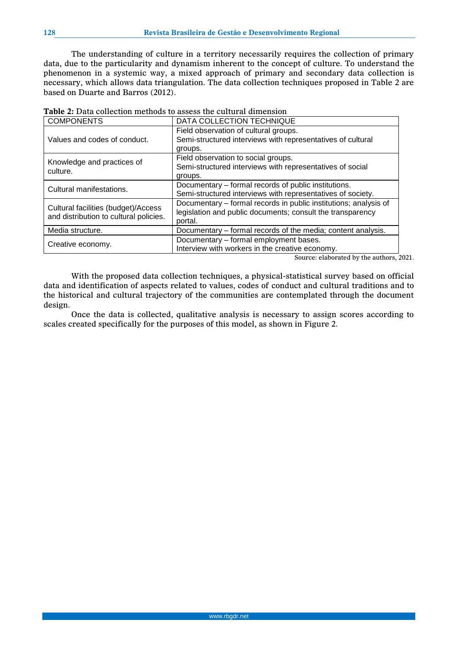The understanding of culture in a territory necessarily requires the collection of primary data, due to the particularity and dynamism inherent to the concept of culture. To understand the phenomenon in a systemic way, a mixed approach of primary and secondary data collection is necessary, which allows data triangulation. The data collection techniques proposed in Table 2 are based on Duarte and Barros (2012).

| <b>COMPONENTS</b>                      | DATA COLLECTION TECHNIQUE                                        |
|----------------------------------------|------------------------------------------------------------------|
|                                        | Field observation of cultural groups.                            |
| Values and codes of conduct.           | Semi-structured interviews with representatives of cultural      |
|                                        | groups.                                                          |
| Knowledge and practices of             | Field observation to social groups.                              |
| culture.                               | Semi-structured interviews with representatives of social        |
|                                        | groups.                                                          |
| Cultural manifestations.               | Documentary – formal records of public institutions.             |
|                                        | Semi-structured interviews with representatives of society.      |
| Cultural facilities (budget)/Access    | Documentary - formal records in public institutions; analysis of |
| and distribution to cultural policies. | legislation and public documents; consult the transparency       |
|                                        | portal.                                                          |
| Media structure.                       | Documentary – formal records of the media; content analysis.     |
| Creative economy.                      | Documentary - formal employment bases.                           |
|                                        | Interview with workers in the creative economy.                  |

Source: elaborated by the authors, 2021.

With the proposed data collection techniques, a physical-statistical survey based on official data and identification of aspects related to values, codes of conduct and cultural traditions and to the historical and cultural trajectory of the communities are contemplated through the document design.

Once the data is collected, qualitative analysis is necessary to assign scores according to scales created specifically for the purposes of this model, as shown in Figure 2.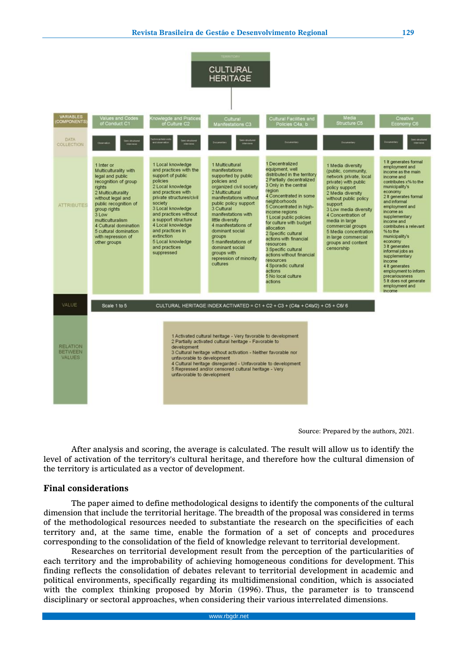

Source: Prepared by the authors, 2021.

After analysis and scoring, the average is calculated. The result will allow us to identify the level of activation of the territory's cultural heritage, and therefore how the cultural dimension of the territory is articulated as a vector of development.

## **Final considerations**

The paper aimed to define methodological designs to identify the components of the cultural dimension that include the territorial heritage. The breadth of the proposal was considered in terms of the methodological resources needed to substantiate the research on the specificities of each territory and, at the same time, enable the formation of a set of concepts and procedures corresponding to the consolidation of the field of knowledge relevant to territorial development.

Researches on territorial development result from the perception of the particularities of each territory and the improbability of achieving homogeneous conditions for development. This finding reflects the consolidation of debates relevant to territorial development in academic and political environments, specifically regarding its multidimensional condition, which is associated with the complex thinking proposed by Morin (1996). Thus, the parameter is to transcend disciplinary or sectoral approaches, when considering their various interrelated dimensions.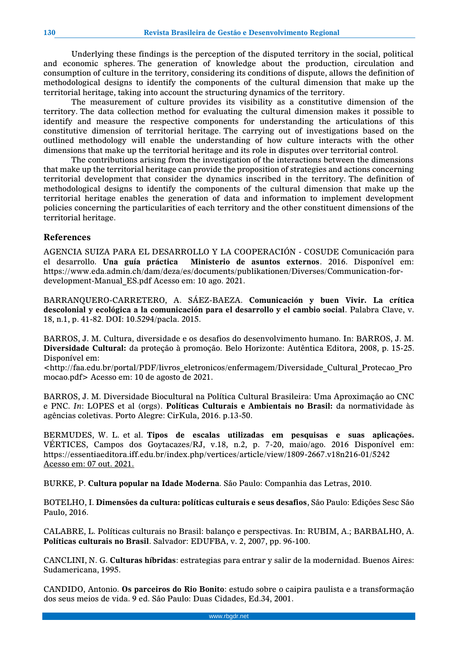Underlying these findings is the perception of the disputed territory in the social, political and economic spheres. The generation of knowledge about the production, circulation and consumption of culture in the territory, considering its conditions of dispute, allows the definition of methodological designs to identify the components of the cultural dimension that make up the territorial heritage, taking into account the structuring dynamics of the territory.

The measurement of culture provides its visibility as a constitutive dimension of the territory. The data collection method for evaluating the cultural dimension makes it possible to identify and measure the respective components for understanding the articulations of this constitutive dimension of territorial heritage. The carrying out of investigations based on the outlined methodology will enable the understanding of how culture interacts with the other dimensions that make up the territorial heritage and its role in disputes over territorial control.

The contributions arising from the investigation of the interactions between the dimensions that make up the territorial heritage can provide the proposition of strategies and actions concerning territorial development that consider the dynamics inscribed in the territory. The definition of methodological designs to identify the components of the cultural dimension that make up the territorial heritage enables the generation of data and information to implement development policies concerning the particularities of each territory and the other constituent dimensions of the territorial heritage.

# **References**

AGENCIA SUIZA PARA EL DESARROLLO Y LA COOPERACIÓN - COSUDE Comunicación para el desarrollo. **Una guía práctica Ministerio de asuntos externos**. 2016. Disponível em: https://www.eda.admin.ch/dam/deza/es/documents/publikationen/Diverses/Communication-fordevelopment-Manual\_ES.pdf Acesso em: 10 ago. 2021.

BARRANQUERO-CARRETERO, A. SÁEZ-BAEZA. **Comunicación y buen Vivir. La crítica descolonial y ecológica a la comunicación para el desarrollo y el cambio social**. Palabra Clave, v. 18, n.1, p. 41-82. DOI: 10.5294/pacla. 2015.

BARROS, J. M. Cultura, diversidade e os desafios do desenvolvimento humano. In: BARROS, J. M. **Diversidade Cultural:** da proteção à promoção. Belo Horizonte: Autêntica Editora, 2008, p. 15-25. Disponível em:

<http://faa.edu.br/portal/PDF/livros\_eletronicos/enfermagem/Diversidade\_Cultural\_Protecao\_Pro mocao.pdf> Acesso em: 10 de agosto de 2021.

BARROS, J. M. Diversidade Biocultural na Política Cultural Brasileira: Uma Aproximação ao CNC e PNC. *In*: LOPES et al (orgs). **Políticas Culturais e Ambientais no Brasil:** da normatividade às agências coletivas. Porto Alegre: CirKula, 2016. p.13-50.

BERMUDES, W. L. et al. **Tipos de escalas utilizadas em pesquisas e suas aplicações.** VÉRTICES, Campos dos Goytacazes/RJ, v.18, n.2, p. 7-20, maio/ago. 2016 Disponível em: https://essentiaeditora.iff.edu.br/index.php/vertices/article/view/1809-2667.v18n216-01/5242 Acesso em: 07 out. 2021.

BURKE, P. **Cultura popular na Idade Moderna**. São Paulo: Companhia das Letras, 2010.

BOTELHO, I. **Dimensões da cultura: políticas culturais e seus desafios**, São Paulo: Edições Sesc São Paulo, 2016.

CALABRE, L. Políticas culturais no Brasil: balanço e perspectivas. In: RUBIM, A.; BARBALHO, A. **Políticas culturais no Brasil**. Salvador: EDUFBA, v. 2, 2007, pp. 96-100.

CANCLINI, N. G. **Culturas híbridas**: estrategias para entrar y salir de la modernidad. Buenos Aires: Sudamericana, 1995.

CANDIDO, Antonio. **Os parceiros do Rio Bonito**: estudo sobre o caipira paulista e a transformação dos seus meios de vida. 9 ed. São Paulo: Duas Cidades, Ed.34, 2001.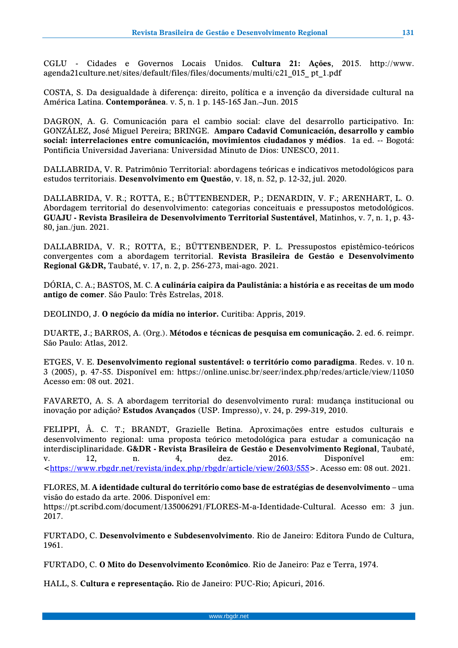CGLU - Cidades e Governos Locais Unidos. **Cultura 21: Ações**, 2015. http://www. agenda21culture.net/sites/default/files/files/documents/multi/c21\_015\_ pt\_1.pdf

COSTA, S. Da desigualdade à diferença: direito, política e a invenção da diversidade cultural na América Latina. **Contemporânea**. v. 5, n. 1 p. 145-165 Jan.–Jun. 2015

DAGRON, A. G. Comunicación para el cambio social: clave del desarrollo participativo. In: GONZÁLEZ, José Miguel Pereira; BRINGE. **Amparo Cadavid Comunicación, desarrollo y cambio social: interrelaciones entre comunicación, movimientos ciudadanos y médios**. 1a ed. -- Bogotá: Pontificia Universidad Javeriana: Universidad Minuto de Dios: UNESCO, 2011.

DALLABRIDA, V. R. Patrimônio Territorial: abordagens teóricas e indicativos metodológicos para estudos territoriais. **Desenvolvimento em Questão**, v. 18, n. 52, p. 12-32, jul. 2020.

DALLABRIDA, V. R.; ROTTA, E.; BÜTTENBENDER, P.; DENARDIN, V. F.; ARENHART, L. O. Abordagem territorial do desenvolvimento: categorias conceituais e pressupostos metodológicos. **GUAJU - Revista Brasileira de Desenvolvimento Territorial Sustentável**, Matinhos, v. 7, n. 1, p. 43- 80, jan./jun. 2021.

DALLABRIDA, V. R.; ROTTA, E.; BÜTTENBENDER, P. L. Pressupostos epistêmico-teóricos convergentes com a abordagem territorial. **Revista Brasileira de Gestão e Desenvolvimento Regional G&DR,** Taubaté, v. 17, n. 2, p. 256-273, mai-ago. 2021.

DÓRIA, C. A.; BASTOS, M. C. **A culinária caipira da Paulistânia: a história e as receitas de um modo antigo de comer**. São Paulo: Três Estrelas, 2018.

DEOLINDO, J. **O negócio da mídia no interior.** Curitiba: Appris, 2019.

DUARTE, J.; BARROS, A. (Org.). **Métodos e técnicas de pesquisa em comunicação.** 2. ed. 6. reimpr. São Paulo: Atlas, 2012.

ETGES, V. E. **Desenvolvimento regional sustentável: o território como paradigma**. Redes. v. 10 n. 3 (2005), p. 47-55. Disponível em: https://online.unisc.br/seer/index.php/redes/article/view/11050 Acesso em: 08 out. 2021.

FAVARETO, A. S. A abordagem territorial do desenvolvimento rural: mudança institucional ou inovação por adição? **Estudos Avançados** (USP. Impresso), v. 24, p. 299-319, 2010.

FELIPPI, Â. C. T.; BRANDT, Grazielle Betina. Aproximações entre estudos culturais e desenvolvimento regional: uma proposta teórico metodológica para estudar a comunicação na interdisciplinaridade. **G&DR - Revista Brasileira de Gestão e Desenvolvimento Regional**, Taubaté, v. 12, n. 4, dez. 2016. Disponível em: [<https://www.rbgdr.net/revista/index.php/rbgdr/article/view/2603/555>](https://www.rbgdr.net/revista/index.php/rbgdr/article/view/2603/555). Acesso em: 08 out. 2021.

FLORES, M. **A identidade cultural do território como base de estratégias de desenvolvimento** – uma visão do estado da arte. 2006. Disponível em: https://pt.scribd.com/document/135006291/FLORES-M-a-Identidade-Cultural. Acesso em: 3 jun. 2017.

FURTADO, C. **Desenvolvimento e Subdesenvolvimento**. Rio de Janeiro: Editora Fundo de Cultura, 1961.

FURTADO, C. **O Mito do Desenvolvimento Econômico**. Rio de Janeiro: Paz e Terra, 1974.

HALL, S. **Cultura e representação.** Rio de Janeiro: PUC-Rio; Apicuri, 2016.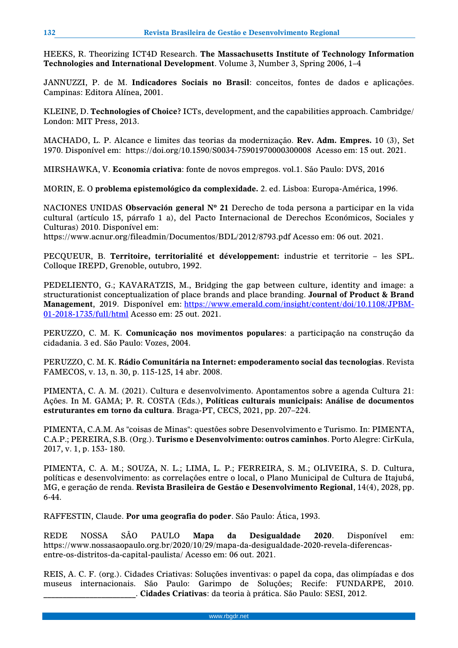HEEKS, R. Theorizing ICT4D Research. **The Massachusetts Institute of Technology Information Technologies and International Development**. Volume 3, Number 3, Spring 2006, 1–4

JANNUZZI, P. de M. **Indicadores Sociais no Brasil**: conceitos, fontes de dados e aplicações. Campinas: Editora Alínea, 2001.

KLEINE, D. **Technologies of Choice?** ICTs, development, and the capabilities approach. Cambridge/ London: MIT Press, 2013.

MACHADO, L. P. Alcance e limites das teorias da modernização. **Rev. Adm. Empres.** 10 (3), Set 1970. Disponível em: https://doi.org/10.1590/S0034-75901970000300008 Acesso em: 15 out. 2021.

MIRSHAWKA, V. **Economia criativa**: fonte de novos empregos. vol.1. São Paulo: DVS, 2016

MORIN, E. O **problema epistemológico da complexidade.** 2. ed. Lisboa: Europa-América, 1996.

NACIONES UNIDAS **Observación general Nº 21** Derecho de toda persona a participar en la vida cultural (artículo 15, párrafo 1 a), del Pacto Internacional de Derechos Económicos, Sociales y Culturas) 2010. Disponível em:

https://www.acnur.org/fileadmin/Documentos/BDL/2012/8793.pdf Acesso em: 06 out. 2021.

PECQUEUR, B. **Territoire, territorialité et développement:** industrie et territorie – les SPL. Colloque IREPD, Grenoble, outubro, 1992.

PEDELIENTO, G.; KAVARATZIS, M., Bridging the gap between culture, identity and image: a structurationist conceptualization of place brands and place branding. **Journal of Product & Brand Management**, 2019. Disponível em: [https://www.emerald.com/insight/content/doi/10.1108/JPBM-](https://www.emerald.com/insight/content/doi/10.1108/JPBM-01-2018-1735/full/html)[01-2018-1735/full/html](https://www.emerald.com/insight/content/doi/10.1108/JPBM-01-2018-1735/full/html) Acesso em: 25 out. 2021.

PERUZZO, C. M. K. **Comunicação nos movimentos populares**: a participação na construção da cidadania. 3 ed. São Paulo: Vozes, 2004.

PERUZZO, C. M. K. **Rádio Comunitária na Internet: empoderamento social das tecnologias**. Revista FAMECOS, v. 13, n. 30, p. 115-125, 14 abr. 2008.

PIMENTA, C. A. M. (2021). Cultura e desenvolvimento. Apontamentos sobre a agenda Cultura 21: Ações. In M. GAMA; P. R. COSTA (Eds.), **Políticas culturais municipais: Análise de documentos estruturantes em torno da cultura**. Braga-PT, CECS, 2021, pp. 207–224.

PIMENTA, C.A.M. As "coisas de Minas": questões sobre Desenvolvimento e Turismo. In: PIMENTA, C.A.P.; PEREIRA, S.B. (Org.). **Turismo e Desenvolvimento: outros caminhos**. Porto Alegre: CirKula, 2017, v. 1, p. 153- 180.

PIMENTA, C. A. M.; SOUZA, N. L.; LIMA, L. P.; FERREIRA, S. M.; OLIVEIRA, S. D. Cultura, políticas e desenvolvimento: as correlações entre o local, o Plano Municipal de Cultura de Itajubá, MG, e geração de renda. **Revista Brasileira de Gestão e Desenvolvimento Regional**, 14(4), 2028, pp. 6-44.

RAFFESTIN, Claude. **Por uma geografia do poder**. São Paulo: Ática, 1993.

REDE NOSSA SÃO PAULO **Mapa da Desigualdade 2020**. Disponível em: https://www.nossasaopaulo.org.br/2020/10/29/mapa-da-desigualdade-2020-revela-diferencasentre-os-distritos-da-capital-paulista/ Acesso em: 06 out. 2021.

REIS, A. C. F. (org.). Cidades Criativas: Soluções inventivas: o papel da copa, das olimpíadas e dos museus internacionais. São Paulo: Garimpo de Soluções; Recife: FUNDARPE, 2010. \_\_\_\_\_\_\_\_\_\_\_\_\_\_\_\_\_\_\_\_\_\_\_\_. **Cidades Criativas**: da teoria à prática. São Paulo: SESI, 2012.